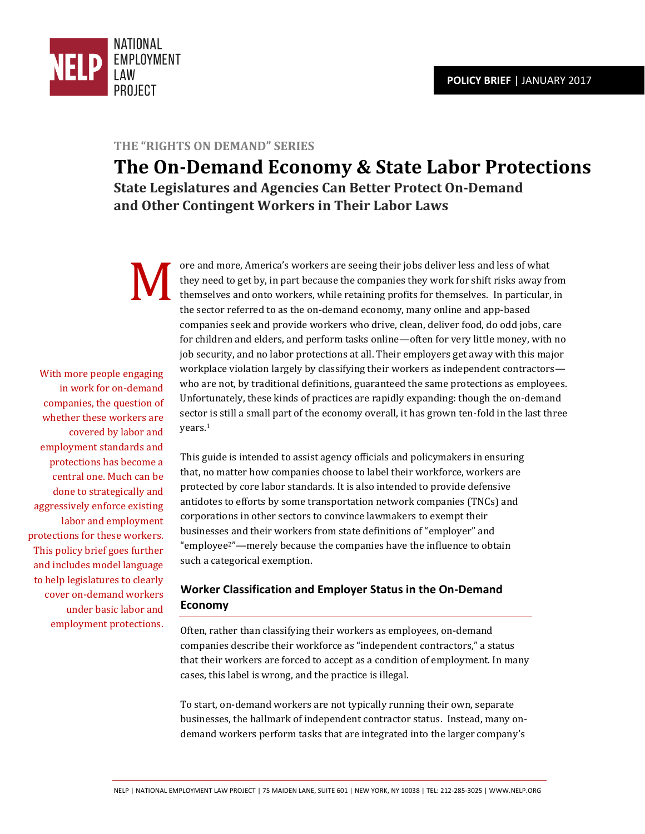

## **THE "RIGHTS ON DEMAND" SERIES**

**The On-Demand Economy & State Labor Protections State Legislatures and Agencies Can Better Protect On-Demand and Other Contingent Workers in Their Labor Laws** 

ore and more, America's workers are seeing their jobs deliver less and less of what they need to get by, in part because the companies they work for shift risks away from themselves and onto workers, while retaining profits for themselves. In particular, in the sector referred to as the on-demand economy, many online and app-based companies seek and provide workers who drive, clean, deliver food, do odd jobs, care for children and elders, and perform tasks online—often for very little money, with no job security, and no labor protections at all. Their employers get away with this major workplace violation largely by classifying their workers as independent contractors who are not, by traditional definitions, guaranteed the same protections as employees. Unfortunately, these kinds of practices are rapidly expanding: though the on-demand sector is still a small part of the economy overall, it has grown ten-fold in the last three years.<sup>1</sup>  $\sum_{\rm th}$ 

> This guide is intended to assist agency officials and policymakers in ensuring that, no matter how companies choose to label their workforce, workers are protected by core labor standards. It is also intended to provide defensive antidotes to efforts by some transportation network companies (TNCs) and corporations in other sectors to convince lawmakers to exempt their businesses and their workers from state definitions of "employer" and "employee<sup>2</sup>"—merely because the companies have the influence to obtain such a categorical exemption.

# **Worker Classification and Employer Status in the On-Demand Economy**

Often, rather than classifying their workers as employees, on-demand companies describe their workforce as "independent contractors," a status that their workers are forced to accept as a condition of employment. In many cases, this label is wrong, and the practice is illegal.

To start, on-demand workers are not typically running their own, separate businesses, the hallmark of independent contractor status. Instead, many ondemand workers perform tasks that are integrated into the larger company's

With more people engaging in work for on-demand companies, the question of whether these workers are covered by labor and employment standards and protections has become a central one. Much can be done to strategically and aggressively enforce existing labor and employment protections for these workers. This policy brief goes further and includes model language to help legislatures to clearly cover on-demand workers under basic labor and employment protections.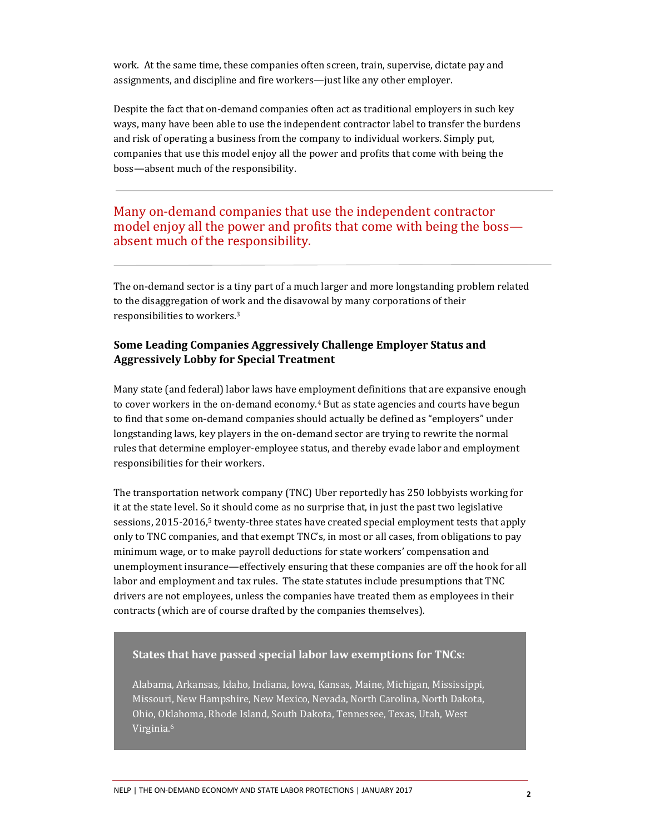work. At the same time, these companies often screen, train, supervise, dictate pay and assignments, and discipline and fire workers—just like any other employer.

Despite the fact that on-demand companies often act as traditional employers in such key ways, many have been able to use the independent contractor label to transfer the burdens and risk of operating a business from the company to individual workers. Simply put, companies that use this model enjoy all the power and profits that come with being the boss—absent much of the responsibility.

# Many on-demand companies that use the independent contractor model enjoy all the power and profits that come with being the boss absent much of the responsibility.

The on-demand sector is a tiny part of a much larger and more longstanding problem related to the disaggregation of work and the disavowal by many corporations of their responsibilities to workers.<sup>3</sup>

## **Some Leading Companies Aggressively Challenge Employer Status and Aggressively Lobby for Special Treatment**

Many state (and federal) labor laws have employment definitions that are expansive enough to cover workers in the on-demand economy.<sup>4</sup> But as state agencies and courts have begun to find that some on-demand companies should actually be defined as "employers" under longstanding laws, key players in the on-demand sector are trying to rewrite the normal rules that determine employer-employee status, and thereby evade labor and employment responsibilities for their workers.

The transportation network company (TNC) Uber reportedly has 250 lobbyists working for it at the state level. So it should come as no surprise that, in just the past two legislative sessions, 2015-2016,<sup>5</sup> twenty-three states have created special employment tests that apply only to TNC companies, and that exempt TNC's, in most or all cases, from obligations to pay minimum wage, or to make payroll deductions for state workers' compensation and unemployment insurance—effectively ensuring that these companies are off the hook for all labor and employment and tax rules. The state statutes include presumptions that TNC drivers are not employees, unless the companies have treated them as employees in their contracts (which are of course drafted by the companies themselves).

## **States that have passed special labor law exemptions for TNCs:**

Alabama, Arkansas, Idaho, Indiana, Iowa, Kansas, Maine, Michigan, Mississippi, Missouri, New Hampshire, New Mexico, Nevada, North Carolina, North Dakota, Ohio, Oklahoma, Rhode Island, South Dakota, Tennessee, Texas, Utah, West Virginia.<sup>6</sup>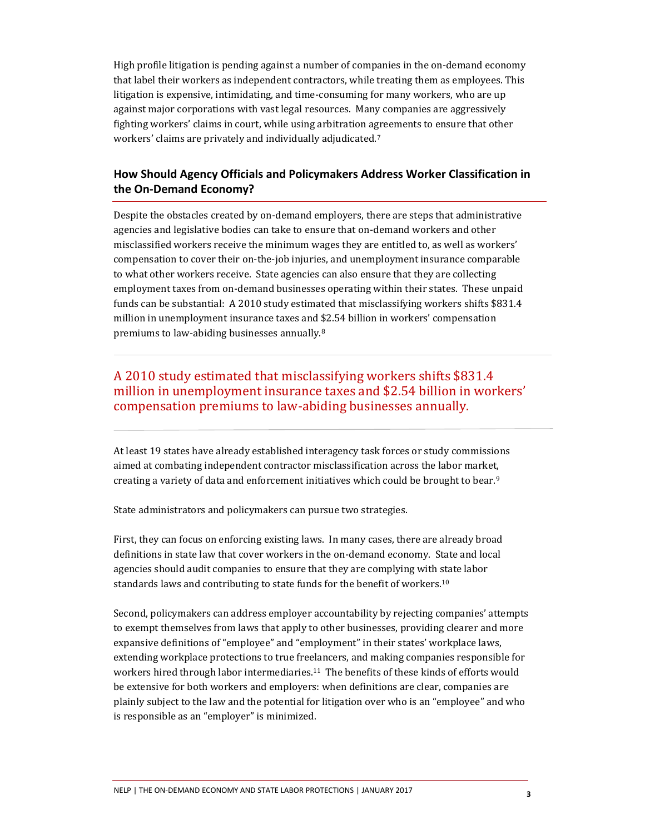High profile litigation is pending against a number of companies in the on-demand economy that label their workers as independent contractors, while treating them as employees. This litigation is expensive, intimidating, and time-consuming for many workers, who are up against major corporations with vast legal resources. Many companies are aggressively fighting workers' claims in court, while using arbitration agreements to ensure that other workers' claims are privately and individually adjudicated.<sup>7</sup>

# **How Should Agency Officials and Policymakers Address Worker Classification in the On-Demand Economy?**

Despite the obstacles created by on-demand employers, there are steps that administrative agencies and legislative bodies can take to ensure that on-demand workers and other misclassified workers receive the minimum wages they are entitled to, as well as workers' compensation to cover their on-the-job injuries, and unemployment insurance comparable to what other workers receive. State agencies can also ensure that they are collecting employment taxes from on-demand businesses operating within their states. These unpaid funds can be substantial: A 2010 study estimated that misclassifying workers shifts \$831.4 million in unemployment insurance taxes and \$2.54 billion in workers' compensation premiums to law-abiding businesses annually.<sup>8</sup>

# A 2010 study estimated that misclassifying workers shifts \$831.4 million in unemployment insurance taxes and \$2.54 billion in workers' compensation premiums to law-abiding businesses annually.

At least 19 states have already established interagency task forces or study commissions aimed at combating independent contractor misclassification across the labor market, creating a variety of data and enforcement initiatives which could be brought to bear.<sup>9</sup>

State administrators and policymakers can pursue two strategies.

First, they can focus on enforcing existing laws. In many cases, there are already broad definitions in state law that cover workers in the on-demand economy. State and local agencies should audit companies to ensure that they are complying with state labor standards laws and contributing to state funds for the benefit of workers.<sup>10</sup>

Second, policymakers can address employer accountability by rejecting companies' attempts to exempt themselves from laws that apply to other businesses, providing clearer and more expansive definitions of "employee" and "employment" in their states' workplace laws, extending workplace protections to true freelancers, and making companies responsible for workers hired through labor intermediaries.11 The benefits of these kinds of efforts would be extensive for both workers and employers: when definitions are clear, companies are plainly subject to the law and the potential for litigation over who is an "employee" and who is responsible as an "employer" is minimized.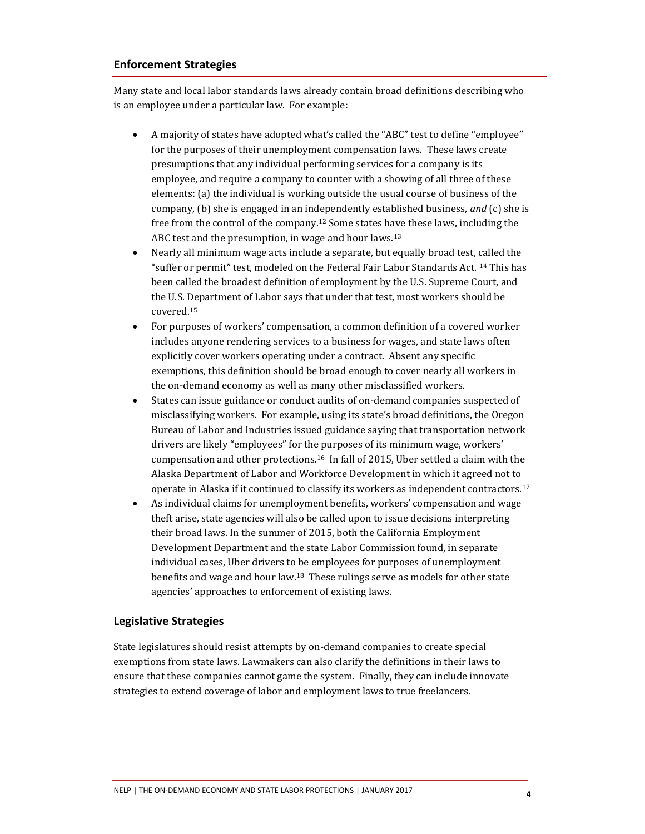#### **Enforcement Strategies**

Many state and local labor standards laws already contain broad definitions describing who is an employee under a particular law. For example:

- A majority of states have adopted what's called the "ABC" test to define "employee" for the purposes of their unemployment compensation laws. These laws create presumptions that any individual performing services for a company is its employee, and require a company to counter with a showing of all three of these elements: (a) the individual is working outside the usual course of business of the company, (b) she is engaged in an independently established business, *and* (c) she is free from the control of the company.12 Some states have these laws, including the ABC test and the presumption, in wage and hour laws.<sup>13</sup>
- Nearly all minimum wage acts include a separate, but equally broad test, called the "suffer or permit" test, modeled on the Federal Fair Labor Standards Act. <sup>14</sup> This has been called the broadest definition of employment by the U.S. Supreme Court, and the U.S. Department of Labor says that under that test, most workers should be covered.<sup>15</sup>
- For purposes of workers' compensation, a common definition of a covered worker includes anyone rendering services to a business for wages, and state laws often explicitly cover workers operating under a contract. Absent any specific exemptions, this definition should be broad enough to cover nearly all workers in the on-demand economy as well as many other misclassified workers.
- States can issue guidance or conduct audits of on-demand companies suspected of misclassifying workers. For example, using its state's broad definitions, the Oregon Bureau of Labor and Industries issued guidance saying that transportation network drivers are likely "employees" for the purposes of its minimum wage, workers' compensation and other protections.16 In fall of 2015, Uber settled a claim with the Alaska Department of Labor and Workforce Development in which it agreed not to operate in Alaska if it continued to classify its workers as independent contractors.<sup>17</sup>
- As individual claims for unemployment benefits, workers' compensation and wage theft arise, state agencies will also be called upon to issue decisions interpreting their broad laws. In the summer of 2015, both the California Employment Development Department and the state Labor Commission found, in separate individual cases, Uber drivers to be employees for purposes of unemployment benefits and wage and hour law.18 These rulings serve as models for other state agencies' approaches to enforcement of existing laws.

### **Legislative Strategies**

State legislatures should resist attempts by on-demand companies to create special exemptions from state laws. Lawmakers can also clarify the definitions in their laws to ensure that these companies cannot game the system. Finally, they can include innovate strategies to extend coverage of labor and employment laws to true freelancers.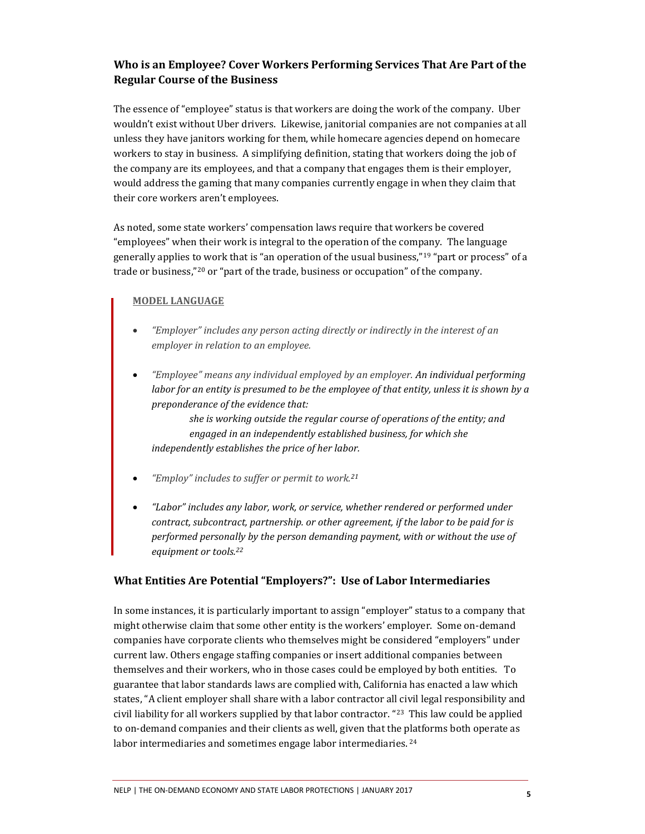# **Who is an Employee? Cover Workers Performing Services That Are Part of the Regular Course of the Business**

The essence of "employee" status is that workers are doing the work of the company. Uber wouldn't exist without Uber drivers. Likewise, janitorial companies are not companies at all unless they have janitors working for them, while homecare agencies depend on homecare workers to stay in business. A simplifying definition, stating that workers doing the job of the company are its employees, and that a company that engages them is their employer, would address the gaming that many companies currently engage in when they claim that their core workers aren't employees.

As noted, some state workers' compensation laws require that workers be covered "employees" when their work is integral to the operation of the company. The language generally applies to work that is "an operation of the usual business,"<sup>19</sup> "part or process" of a trade or business,"<sup>20</sup> or "part of the trade, business or occupation" of the company.

#### **MODEL LANGUAGE**

- *"Employer" includes any person acting directly or indirectly in the interest of an employer in relation to an employee.*
- *"Employee" means any individual employed by an employer. An individual performing labor for an entity is presumed to be the employee of that entity, unless it is shown by a preponderance of the evidence that:*

*she is working outside the regular course of operations of the entity; and engaged in an independently established business, for which she independently establishes the price of her labor.* 

- *"Employ" includes to suffer or permit to work.<sup>21</sup>*
- *"Labor" includes any labor, work, or service, whether rendered or performed under contract, subcontract, partnership. or other agreement, if the labor to be paid for is performed personally by the person demanding payment, with or without the use of equipment or tools.<sup>22</sup>*

### **What Entities Are Potential "Employers?": Use of Labor Intermediaries**

In some instances, it is particularly important to assign "employer" status to a company that might otherwise claim that some other entity is the workers' employer. Some on-demand companies have corporate clients who themselves might be considered "employers" under current law. Others engage staffing companies or insert additional companies between themselves and their workers, who in those cases could be employed by both entities. To guarantee that labor standards laws are complied with, California has enacted a law which states, "A client employer shall share with a labor contractor all civil legal responsibility and civil liability for all workers supplied by that labor contractor. "<sup>23</sup> This law could be applied to on-demand companies and their clients as well, given that the platforms both operate as labor intermediaries and sometimes engage labor intermediaries.<sup>24</sup>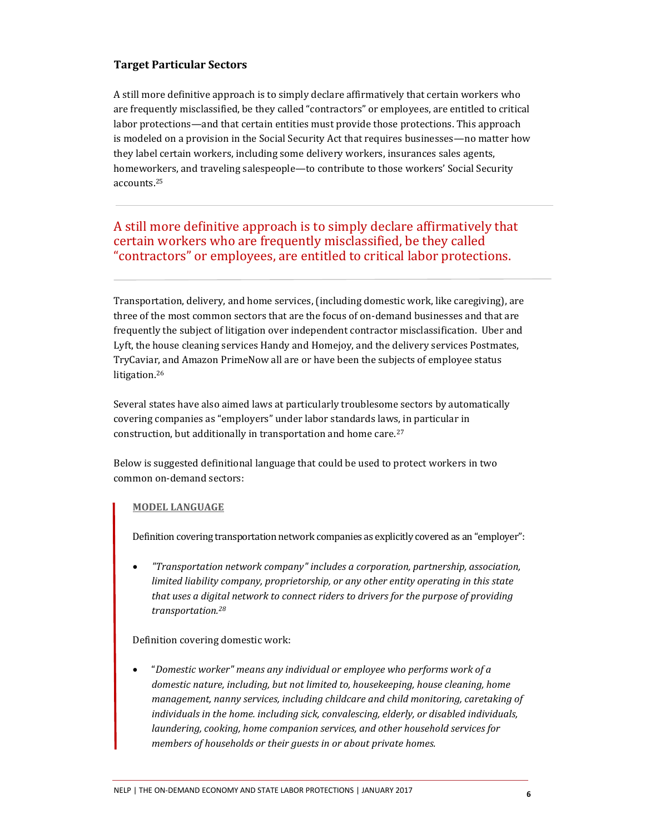### **Target Particular Sectors**

A still more definitive approach is to simply declare affirmatively that certain workers who are frequently misclassified, be they called "contractors" or employees, are entitled to critical labor protections—and that certain entities must provide those protections. This approach is modeled on a provision in the Social Security Act that requires businesses—no matter how they label certain workers, including some delivery workers, insurances sales agents, homeworkers, and traveling salespeople—to contribute to those workers' Social Security accounts.<sup>25</sup>

# A still more definitive approach is to simply declare affirmatively that certain workers who are frequently misclassified, be they called "contractors" or employees, are entitled to critical labor protections.

Transportation, delivery, and home services, (including domestic work, like caregiving), are three of the most common sectors that are the focus of on-demand businesses and that are frequently the subject of litigation over independent contractor misclassification. Uber and Lyft, the house cleaning services Handy and Homejoy, and the delivery services Postmates, TryCaviar, and Amazon PrimeNow all are or have been the subjects of employee status litigation.<sup>26</sup>

Several states have also aimed laws at particularly troublesome sectors by automatically covering companies as "employers" under labor standards laws, in particular in construction, but additionally in transportation and home care.<sup>27</sup>

Below is suggested definitional language that could be used to protect workers in two common on-demand sectors:

#### **MODEL LANGUAGE**

Definition covering transportation network companies as explicitly covered as an "employer":

 *"Transportation network company" includes a corporation, partnership, association, limited liability company, proprietorship, or any other entity operating in this state that uses a digital network to connect riders to drivers for the purpose of providing transportation.<sup>28</sup>*

#### Definition covering domestic work:

 "*Domestic worker" means any individual or employee who performs work of a domestic nature, including, but not limited to, housekeeping, house cleaning, home management, nanny services, including childcare and child monitoring, caretaking of individuals in the home. including sick, convalescing, elderly, or disabled individuals, laundering, cooking, home companion services, and other household services for members of households or their guests in or about private homes.*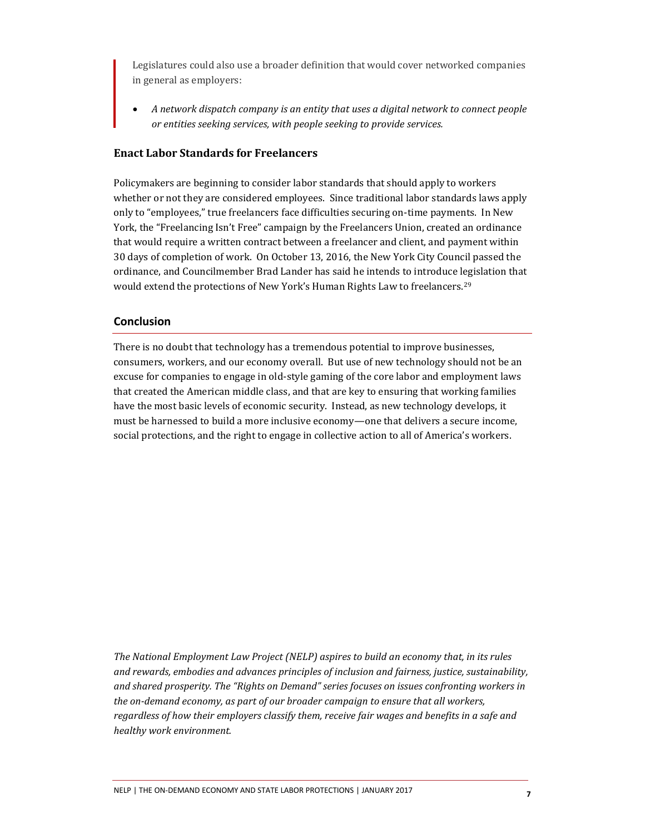Legislatures could also use a broader definition that would cover networked companies in general as employers:

 *A network dispatch company is an entity that uses a digital network to connect people or entities seeking services, with people seeking to provide services.* 

#### **Enact Labor Standards for Freelancers**

Policymakers are beginning to consider labor standards that should apply to workers whether or not they are considered employees. Since traditional labor standards laws apply only to "employees," true freelancers face difficulties securing on-time payments. In New York, the "Freelancing Isn't Free" campaign by the Freelancers Union, created an ordinance that would require a written contract between a freelancer and client, and payment within 30 days of completion of work. On October 13, 2016, the New York City Council passed the ordinance, and Councilmember Brad Lander has said he intends to introduce legislation that would extend the protections of New York's Human Rights Law to freelancers. 29

#### **Conclusion**

There is no doubt that technology has a tremendous potential to improve businesses, consumers, workers, and our economy overall. But use of new technology should not be an excuse for companies to engage in old-style gaming of the core labor and employment laws that created the American middle class, and that are key to ensuring that working families have the most basic levels of economic security. Instead, as new technology develops, it must be harnessed to build a more inclusive economy—one that delivers a secure income, social protections, and the right to engage in collective action to all of America's workers.

*The National Employment Law Project (NELP) aspires to build an economy that, in its rules and rewards, embodies and advances principles of inclusion and fairness, justice, sustainability, and shared prosperity. The "Rights on Demand" series focuses on issues confronting workers in the on-demand economy, as part of our broader campaign to ensure that all workers, regardless of how their employers classify them, receive fair wages and benefits in a safe and healthy work environment.*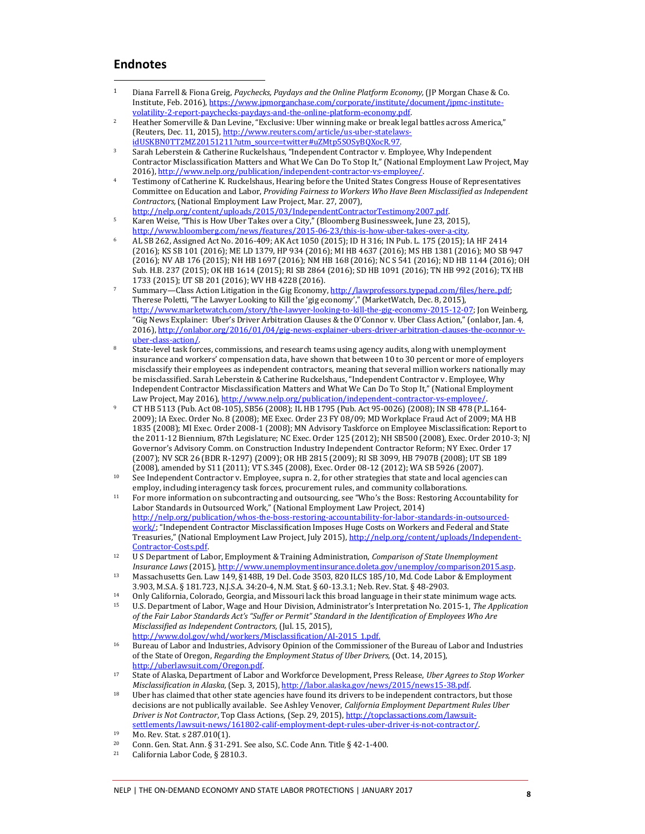## **Endnotes**

 $\overline{a}$ 

- <sup>1</sup> Diana Farrell & Fiona Greig, *Paychecks, Paydays and the Online Platform Economy,* (JP Morgan Chase & Co. Institute, Feb. 2016)[, https://www.jpmorganchase.com/corporate/institute/document/jpmc-institute](https://www.jpmorganchase.com/corporate/institute/document/jpmc-institute-volatility-2-report-paychecks-paydays-and-the-online-platform-economy.pdf)[volatility-2-report-paychecks-paydays-and-the-online-platform-economy.pdf.](https://www.jpmorganchase.com/corporate/institute/document/jpmc-institute-volatility-2-report-paychecks-paydays-and-the-online-platform-economy.pdf)
- <sup>2</sup> Heather Somerville & Dan Levine, "Exclusive: Uber winning make or break legal battles across America," (Reuters, Dec. 11, 2015), http://www.reuters.com/article/us-uber-statelaws [idUSKBN0TT2MZ20151211?utm\\_source=twitter#uZMtp5SOSyBQXocR.97.](http://www.reuters.com/article/us-uber-statelaws-idUSKBN0TT2MZ20151211?utm_source=twitter#uZMtp5SOSyBQXocR.97)
- <sup>3</sup> Sarah Leberstein & Catherine Ruckelshaus, "Independent Contractor v. Employee, Why Independent Contractor Misclassification Matters and What We Can Do To Stop It," (National Employment Law Project, May 2016)[, http://www.nelp.org/publication/independent-contractor-vs-employee/.](http://www.nelp.org/publication/independent-contractor-vs-employee/)
- <sup>4</sup> Testimony of Catherine K. Ruckelshaus, Hearing before the United States Congress House of Representatives Committee on Education and Labor, *Providing Fairness to Workers Who Have Been Misclassified as Independent Contractors,* (National Employment Law Project, Mar. 27, 2007),
- [http://nelp.org/content/uploads/2015/03/IndependentContractorTestimony2007.pdf.](http://nelp.org/content/uploads/2015/03/IndependentContractorTestimony2007.pdf)  <sup>5</sup> Karen Weise, "This is How Uber Takes over a City," (Bloomberg Businessweek, June 23, 2015), [http://www.bloomberg.com/news/features/2015-06-23/this-is-how-uber-takes-over-a-city.](http://www.bloomberg.com/news/features/2015-06-23/this-is-how-uber-takes-over-a-city)
- <sup>6</sup> AL SB 262, Assigned Act No. 2016-409; AK Act 1050 (2015); ID H 316; IN Pub. L. 175 (2015); IA HF 2414 (2016); KS SB 101 (2016); ME LD 1379, HP 934 (2016); MI HB 4637 (2016); MS HB 1381 (2016); MO SB 947 (2016); NV AB 176 (2015); NH HB 1697 (2016); NM HB 168 (2016); NC S 541 (2016); ND HB 1144 (2016); OH Sub. H.B. 237 (2015); OK HB 1614 (2015); RI SB 2864 (2016); SD HB 1091 (2016); TN HB 992 (2016); TX HB 1733 (2015); UT SB 201 (2016); WV HB 4228 (2016).
- Summary—Class Action Litigation in the Gig Economy, http://lawprofessors.typepad.com/files/here..pdf; Therese Poletti, "The Lawyer Looking to Kill the 'gig economy'," (MarketWatch, Dec. 8, 2015),<br><u>http://www.marketwatch.com/story/the-lawyer-looking-to-kill-the-gig-economy-2015-12-07;</u> Jon Weinberg, "Gig News Explainer: Uber's Driver Arbitration Clauses & the O'Connor v. Uber Class Action," (onlabor, Jan. 4, 2016)[, http://onlabor.org/2016/01/04/gig-news-explainer-ubers-driver-arbitration-clauses-the-oconnor-v](http://onlabor.org/2016/01/04/gig-news-explainer-ubers-driver-arbitration-clauses-the-oconnor-v-uber-class-action/)[uber-class-action/.](http://onlabor.org/2016/01/04/gig-news-explainer-ubers-driver-arbitration-clauses-the-oconnor-v-uber-class-action/)
- <sup>8</sup> State-level task forces, commissions, and research teams using agency audits, along with unemployment insurance and workers' compensation data, have shown that between 10 to 30 percent or more of employers misclassify their employees as independent contractors, meaning that several million workers nationally may be misclassified. Sarah Leberstein & Catherine Ruckelshaus, "Independent Contractor v. Employee, Why Independent Contractor Misclassification Matters and What We Can Do To Stop It," (National Employment Law Project, May 2016), http://www.nelp.org/publication/independent-contractor-vs-employee/.
- <sup>9</sup> CT HB 5113 (Pub. Act 08-105), SB56 (2008); IL HB 1795 (Pub. Act 95-0026) (2008); IN SB 478 (P.L.164- 2009); IA Exec. Order No. 8 (2008); ME Exec. Order 23 FY 08/09; MD Workplace Fraud Act of 2009; MA HB 1835 (2008); MI Exec. Order 2008-1 (2008); MN Advisory Taskforce on Employee Misclassification: Report to the 2011-12 Biennium, 87th Legislature; NC Exec. Order 125 (2012); NH SB500 (2008), Exec. Order 2010-3; NJ Governor's Advisory Comm. on Construction Industry Independent Contractor Reform; NY Exec. Order 17 (2007); NV SCR 26 (BDR R-1297) (2009); OR HB 2815 (2009); RI SB 3099, HB 7907B (2008); UT SB 189 (2008), amended by S11 (2011); VT S.345 (2008), Exec. Order 08-12 (2012); WA SB 5926 (2007).
- <sup>10</sup> See Independent Contractor v. Employee, supra n. 2, for other strategies that state and local agencies can employ, including interagency task forces, procurement rules, and community collaborations.
- <sup>11</sup> For more information on subcontracting and outsourcing, see "Who's the Boss: Restoring Accountability for Labor Standards in Outsourced Work," (National Employment Law Project, 2014) [http://nelp.org/publication/whos-the-boss-restoring-accountability-for-labor-standards-in-outsourced](http://nelp.org/publication/whos-the-boss-restoring-accountability-for-labor-standards-in-outsourced-work/)[work/](http://nelp.org/publication/whos-the-boss-restoring-accountability-for-labor-standards-in-outsourced-work/); "Independent Contractor Misclassification Imposes Huge Costs on Workers and Federal and State Treasuries," (National Employment Law Project, July 2015), [http://nelp.org/content/uploads/Independent-](http://nelp.org/content/uploads/Independent-Contractor-Costs.pdf)[Contractor-Costs.pdf.](http://nelp.org/content/uploads/Independent-Contractor-Costs.pdf)
- <sup>12</sup> U S Department of Labor, Employment & Training Administration, *Comparison of State Unemployment Insurance Laws* (2015)[, http://www.unemploymentinsurance.doleta.gov/unemploy/comparison2015.asp.](http://www.unemploymentinsurance.doleta.gov/unemploy/comparison2015.asp)
- <sup>13</sup> Massachusetts Gen. Law 149, §148B, 19 Del. Code 3503, 820 ILCS 185/10, Md. Code Labor & Employment 3.903, M.S.A. § 181.723, N.J.S.A. 34:20-4, N.M. Stat. § 60-13.3.1; Neb. Rev. Stat. § 48-2903.
- 14 Only California, Colorado, Georgia, and Missouri lack this broad language in their state minimum wage acts.<br>15 ILS Department of Labor Wage and Hour Division, Administrator's Interpretation No. 2015-1. The Annicot
- <sup>15</sup> U.S. Department of Labor, Wage and Hour Division, Administrator's Interpretation No. 2015-1, *The Application of the Fair Labor Standards Act's "Suffer or Permit" Standard in the Identification of Employees Who Are Misclassified as Independent Contractors,* (Jul. 15, 2015), [http://www.dol.gov/whd/workers/Misclassification/AI-2015\\_1.pdf.](http://www.dol.gov/whd/workers/Misclassification/AI-2015_1.pdf)
- <sup>16</sup> Bureau of Labor and Industries, Advisory Opinion of the Commissioner of the Bureau of Labor and Industries of the State of Oregon, *Regarding the Employment Status of Uber Drivers,* (Oct. 14, 2015), [http://uberlawsuit.com/Oregon.pdf.](http://uberlawsuit.com/Oregon.pdf)
- <sup>17</sup> State of Alaska, Department of Labor and Workforce Development, Press Release, *Uber Agrees to Stop Worker Misclassification in Alaska,* (Sep. 3, 2015)[, http://labor.alaska.gov/news/2015/news15-38.pdf.](http://labor.alaska.gov/news/2015/news15-38.pdf)
- <sup>18</sup> Uber has claimed that other state agencies have found its drivers to be independent contractors, but those decisions are not publically available. See Ashley Venover, *California Employment Department Rules Uber Driver is Not Contractor*, Top Class Actions, (Sep. 29, 2015)[, http://topclassactions.com/lawsuit](http://topclassactions.com/lawsuit-settlements/lawsuit-news/161802-calif-employment-dept-rules-uber-driver-is-not-contractor/)[settlements/lawsuit-news/161802-calif-employment-dept-rules-uber-driver-is-not-contractor/.](http://topclassactions.com/lawsuit-settlements/lawsuit-news/161802-calif-employment-dept-rules-uber-driver-is-not-contractor/)
- <sup>19</sup> Mo. Rev. Stat. s 287.010(1).
- <sup>20</sup> Conn. Gen. Stat. Ann. § 31-291. See also, S.C. Code Ann. Title § 42-1-400.<br><sup>21</sup> California Labor Code § 2810.3
- California Labor Code, § 2810.3.